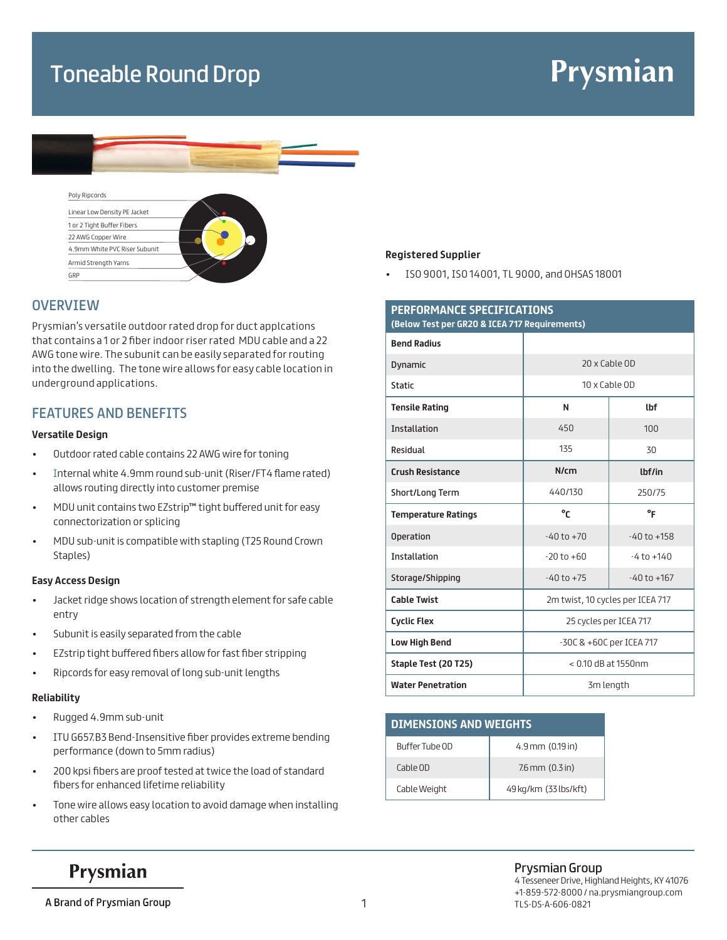### Toneable Round Drop

# Prysmian



## Poly Ripcords



### **OVERVIEW**

Prysmian's versatile outdoor rated drop for duct applcations that contains a 1 or 2 fiber indoor riser rated MDU cable and a 22 AWG tone wire. The subunit can be easily separated for routing into the dwelling. The tone wire allows for easy cable location in underground applications.

### FEATURES AND BENEFITS

#### **Versatile Design**

- Outdoor rated cable contains 22 AWG wire for toning
- Internal white 4.9mm round sub-unit (Riser/FT4 flame rated) allows routing directly into customer premise
- MDU unit contains two EZstrip™ tight buffered unit for easy connectorization or splicing
- MDU sub-unit is compatible with stapling (T25 Round Crown Staples)

#### **Easy Access Design**

- Jacket ridge shows location of strength element for safe cable entry
- Subunit is easily separated from the cable
- EZstrip tight buffered fibers allow for fast fiber stripping
- Ripcords for easy removal of long sub-unit lengths

#### **Reliability**

- Rugged 4.9mm sub-unit
- ITU G657.B3 Bend-Insensitive fiber provides extreme bending performance (down to 5mm radius)
- 200 kpsi fibers are proof tested at twice the load of standard fibers for enhanced lifetime reliability
- Tone wire allows easy location to avoid damage when installing other cables

#### **Registered Supplier**

• ISO 9001, ISO 14001, TL 9000, and OHSAS 18001

| PERFORMANCE SPECIFICATIONS<br>(Below Test per GR20 & ICEA 717 Requirements) |                                  |                 |
|-----------------------------------------------------------------------------|----------------------------------|-----------------|
| <b>Bend Radius</b>                                                          |                                  |                 |
| Dynamic                                                                     | 20 x Cable OD                    |                 |
| <b>Static</b>                                                               | 10 x Cable OD                    |                 |
| <b>Tensile Rating</b>                                                       | N                                | <b>lbf</b>      |
| Installation                                                                | 450                              | 100             |
| Residual                                                                    | 135                              | 30              |
| <b>Crush Resistance</b>                                                     | N/cm                             | lbf/in          |
| Short/Long Term                                                             | 440/130                          | 250/75          |
| <b>Temperature Ratings</b>                                                  | °٢                               | $\circ$ F       |
| <b>Operation</b>                                                            | $-40$ to $+70$                   | $-40$ to $+158$ |
| <b>Installation</b>                                                         | $-20$ to $+60$                   | $-4$ to $+140$  |
| Storage/Shipping                                                            | $-40$ to $+75$                   | $-40$ to $+167$ |
| <b>Cable Twist</b>                                                          | 2m twist, 10 cycles per ICEA 717 |                 |
| <b>Cyclic Flex</b>                                                          | 25 cycles per ICEA 717           |                 |
| <b>Low High Bend</b>                                                        | -30C & +60C per ICEA 717         |                 |
| Staple Test (20 T25)                                                        | $< 0.10$ dB at 1550nm            |                 |
| <b>Water Penetration</b>                                                    | 3m length                        |                 |

| <b>DIMENSIONS AND WEIGHTS</b> |                       |  |
|-------------------------------|-----------------------|--|
| Buffer Tube OD                | $4.9$ mm $(0.19$ in)  |  |
| Cable OD                      | $7.6$ mm $(0.3$ in)   |  |
| Cable Weight                  | 49 kg/km (33 lbs/kft) |  |

### Prysmian

### Prysmian Group

4 Tesseneer Drive, Highland Heights, KY 41076 +1-859-572-8000 / na.prysmiangroup.com 1 TLS-DS-A-606-0821